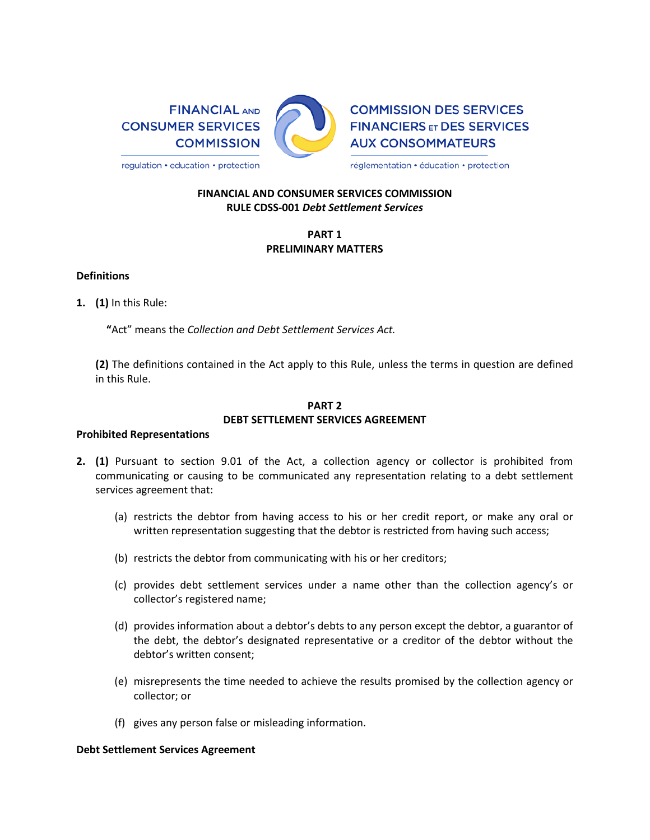

**COMMISSION DES SERVICES FINANCIERS ET DES SERVICES AUX CONSOMMATEURS** 

regulation • education • protection

réglementation · éducation · protection

## **FINANCIAL AND CONSUMER SERVICES COMMISSION RULE CDSS-001** *Debt Settlement Services*

# **PART 1 PRELIMINARY MATTERS**

### **Definitions**

**1. (1)** In this Rule:

**"**Act" means the *Collection and Debt Settlement Services Act.*

**(2)** The definitions contained in the Act apply to this Rule, unless the terms in question are defined in this Rule.

## **PART 2 DEBT SETTLEMENT SERVICES AGREEMENT**

#### **Prohibited Representations**

- **2. (1)** Pursuant to section 9.01 of the Act, a collection agency or collector is prohibited from communicating or causing to be communicated any representation relating to a debt settlement services agreement that:
	- (a) restricts the debtor from having access to his or her credit report, or make any oral or written representation suggesting that the debtor is restricted from having such access;
	- (b) restricts the debtor from communicating with his or her creditors;
	- (c) provides debt settlement services under a name other than the collection agency's or collector's registered name;
	- (d) provides information about a debtor's debts to any person except the debtor, a guarantor of the debt, the debtor's designated representative or a creditor of the debtor without the debtor's written consent;
	- (e) misrepresents the time needed to achieve the results promised by the collection agency or collector; or
	- (f) gives any person false or misleading information.

#### **Debt Settlement Services Agreement**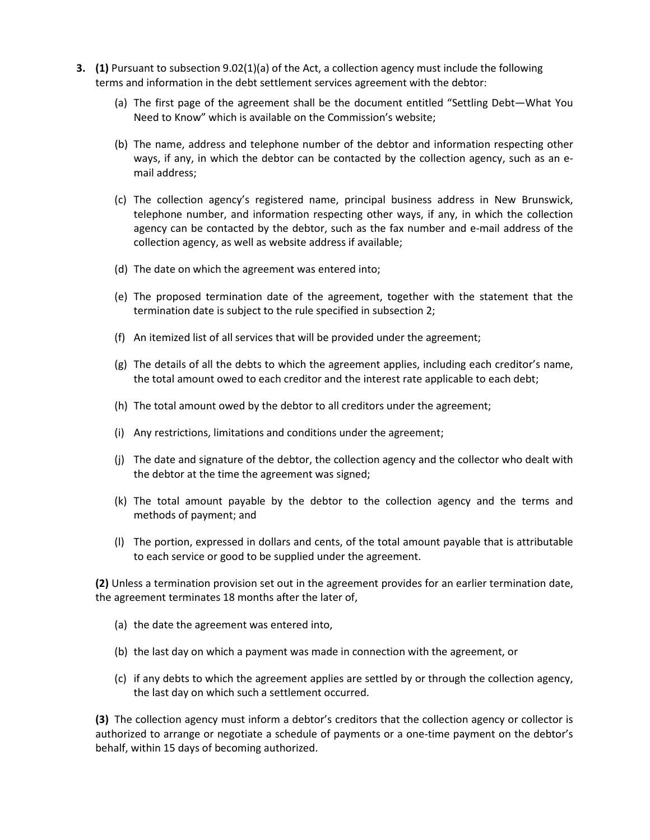- **3. (1)** Pursuant to subsection 9.02(1)(a) of the Act, a collection agency must include the following terms and information in the debt settlement services agreement with the debtor:
	- (a) The first page of the agreement shall be the document entitled "Settling Debt—What You Need to Know" which is available on the Commission's website;
	- (b) The name, address and telephone number of the debtor and information respecting other ways, if any, in which the debtor can be contacted by the collection agency, such as an email address;
	- (c) The collection agency's registered name, principal business address in New Brunswick, telephone number, and information respecting other ways, if any, in which the collection agency can be contacted by the debtor, such as the fax number and e-mail address of the collection agency, as well as website address if available;
	- (d) The date on which the agreement was entered into;
	- (e) The proposed termination date of the agreement, together with the statement that the termination date is subject to the rule specified in subsection 2;
	- (f) An itemized list of all services that will be provided under the agreement;
	- (g) The details of all the debts to which the agreement applies, including each creditor's name, the total amount owed to each creditor and the interest rate applicable to each debt;
	- (h) The total amount owed by the debtor to all creditors under the agreement;
	- (i) Any restrictions, limitations and conditions under the agreement;
	- (j) The date and signature of the debtor, the collection agency and the collector who dealt with the debtor at the time the agreement was signed;
	- (k) The total amount payable by the debtor to the collection agency and the terms and methods of payment; and
	- (l) The portion, expressed in dollars and cents, of the total amount payable that is attributable to each service or good to be supplied under the agreement.

**(2)** Unless a termination provision set out in the agreement provides for an earlier termination date, the agreement terminates 18 months after the later of,

- (a) the date the agreement was entered into,
- (b) the last day on which a payment was made in connection with the agreement, or
- (c) if any debts to which the agreement applies are settled by or through the collection agency, the last day on which such a settlement occurred.

**(3)** The collection agency must inform a debtor's creditors that the collection agency or collector is authorized to arrange or negotiate a schedule of payments or a one-time payment on the debtor's behalf, within 15 days of becoming authorized.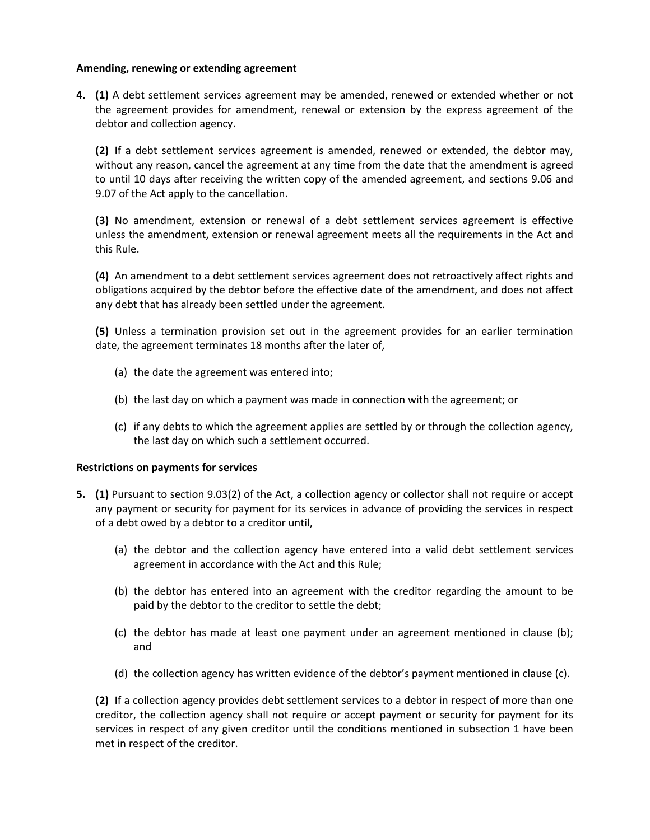### **Amending, renewing or extending agreement**

**4. (1)** A debt settlement services agreement may be amended, renewed or extended whether or not the agreement provides for amendment, renewal or extension by the express agreement of the debtor and collection agency.

**(2)** If a debt settlement services agreement is amended, renewed or extended, the debtor may, without any reason, cancel the agreement at any time from the date that the amendment is agreed to until 10 days after receiving the written copy of the amended agreement, and sections 9.06 and 9.07 of the Act apply to the cancellation.

**(3)** No amendment, extension or renewal of a debt settlement services agreement is effective unless the amendment, extension or renewal agreement meets all the requirements in the Act and this Rule.

**(4)** An amendment to a debt settlement services agreement does not retroactively affect rights and obligations acquired by the debtor before the effective date of the amendment, and does not affect any debt that has already been settled under the agreement.

**(5)** Unless a termination provision set out in the agreement provides for an earlier termination date, the agreement terminates 18 months after the later of,

- (a) the date the agreement was entered into;
- (b) the last day on which a payment was made in connection with the agreement; or
- (c) if any debts to which the agreement applies are settled by or through the collection agency, the last day on which such a settlement occurred.

#### **Restrictions on payments for services**

- **5. (1)** Pursuant to section 9.03(2) of the Act, a collection agency or collector shall not require or accept any payment or security for payment for its services in advance of providing the services in respect of a debt owed by a debtor to a creditor until,
	- (a) the debtor and the collection agency have entered into a valid debt settlement services agreement in accordance with the Act and this Rule;
	- (b) the debtor has entered into an agreement with the creditor regarding the amount to be paid by the debtor to the creditor to settle the debt;
	- (c) the debtor has made at least one payment under an agreement mentioned in clause (b); and
	- (d) the collection agency has written evidence of the debtor's payment mentioned in clause (c).

**(2)** If a collection agency provides debt settlement services to a debtor in respect of more than one creditor, the collection agency shall not require or accept payment or security for payment for its services in respect of any given creditor until the conditions mentioned in subsection 1 have been met in respect of the creditor.